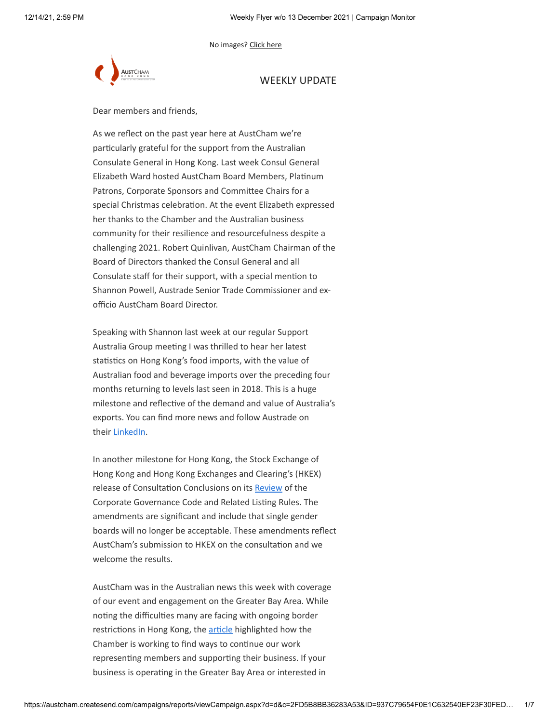No images? [Click here](https://theaustralianchamberofcommercehongkong.createsend1.com/t/d-e-adhiyul-l-v/)



# WEEKLY UPDATE

Dear members and friends,

As we reflect on the past year here at AustCham we're particularly grateful for the support from the Australian Consulate General in Hong Kong. Last week Consul General Elizabeth Ward hosted AustCham Board Members, Platinum Patrons, Corporate Sponsors and Committee Chairs for a special Christmas celebration. At the event Elizabeth expressed her thanks to the Chamber and the Australian business community for their resilience and resourcefulness despite a challenging 2021. Robert Quinlivan, AustCham Chairman of the Board of Directors thanked the Consul General and all Consulate staff for their support, with a special mention to Shannon Powell, Austrade Senior Trade Commissioner and exofficio AustCham Board Director.

Speaking with Shannon last week at our regular Support Australia Group meeting I was thrilled to hear her latest statistics on Hong Kong's food imports, with the value of Australian food and beverage imports over the preceding four months returning to levels last seen in 2018. This is a huge milestone and reflective of the demand and value of Australia's exports. You can find more news and follow Austrade on their [LinkedIn.](https://theaustralianchamberofcommercehongkong.createsend1.com/t/d-i-adhiyul-l-r/)

In another milestone for Hong Kong, the Stock Exchange of Hong Kong and Hong Kong Exchanges and Clearing's (HKEX) release of Consultation Conclusions on its [Review](https://theaustralianchamberofcommercehongkong.createsend1.com/t/d-i-adhiyul-l-y/) of the Corporate Governance Code and Related Listing Rules. The amendments are significant and include that single gender boards will no longer be acceptable. These amendments reflect AustCham's submission to HKEX on the consultation and we welcome the results.

AustCham was in the Australian news this week with coverage of our event and engagement on the Greater Bay Area. While noting the difficulties many are facing with ongoing border restrictions in Hong Kong, the [article](https://theaustralianchamberofcommercehongkong.createsend1.com/t/d-i-adhiyul-l-j/) highlighted how the Chamber is working to find ways to continue our work representing members and supporting their business. If your business is operating in the Greater Bay Area or interested in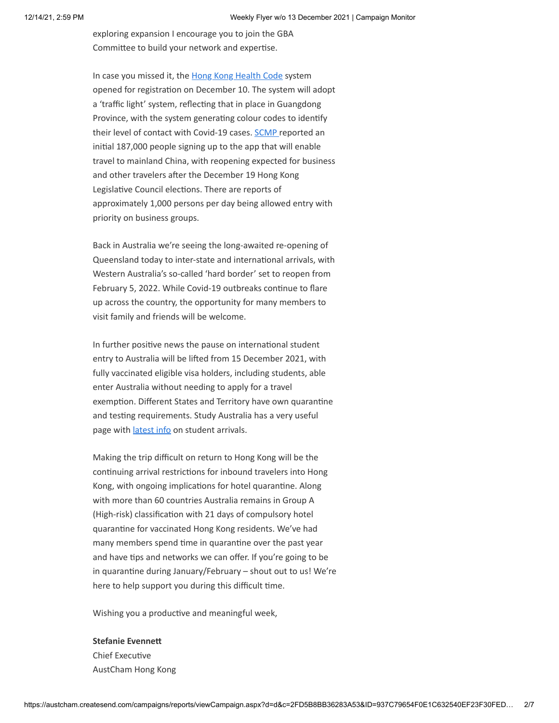exploring expansion I encourage you to join the GBA Committee to build your network and expertise.

In case you missed it, the [Hong Kong Health Code](https://theaustralianchamberofcommercehongkong.createsend1.com/t/d-i-adhiyul-l-t/) system opened for registration on December 10. The system will adopt a 'traffic light' system, reflecting that in place in Guangdong Province, with the system generating colour codes to identify their level of contact with Covid-19 cases. [SCMP](https://theaustralianchamberofcommercehongkong.createsend1.com/t/d-i-adhiyul-l-i/) reported an initial 187,000 people signing up to the app that will enable travel to mainland China, with reopening expected for business and other travelers after the December 19 Hong Kong Legislative Council elections. There are reports of approximately 1,000 persons per day being allowed entry with priority on business groups.

Back in Australia we're seeing the long-awaited re-opening of Queensland today to inter-state and international arrivals, with Western Australia's so-called 'hard border' set to reopen from February 5, 2022. While Covid-19 outbreaks continue to flare up across the country, the opportunity for many members to visit family and friends will be welcome.

In further positive news the pause on international student entry to Australia will be lifted from 15 December 2021, with fully vaccinated eligible visa holders, including students, able enter Australia without needing to apply for a travel exemption. Different States and Territory have own quarantine and testing requirements. Study Australia has a very useful page with *[latest info](https://theaustralianchamberofcommercehongkong.createsend1.com/t/d-i-adhiyul-l-d/)* on student arrivals.

Making the trip difficult on return to Hong Kong will be the continuing arrival restrictions for inbound travelers into Hong Kong, with ongoing implications for hotel quarantine. Along with more than 60 countries Australia remains in Group A (High-risk) classification with 21 days of compulsory hotel quarantine for vaccinated Hong Kong residents. We've had many members spend time in quarantine over the past year and have tips and networks we can offer. If you're going to be in quarantine during January/February – shout out to us! We're here to help support you during this difficult time.

Wishing you a productive and meaningful week,

#### **Stefanie Evennett**

Chief Executive AustCham Hong Kong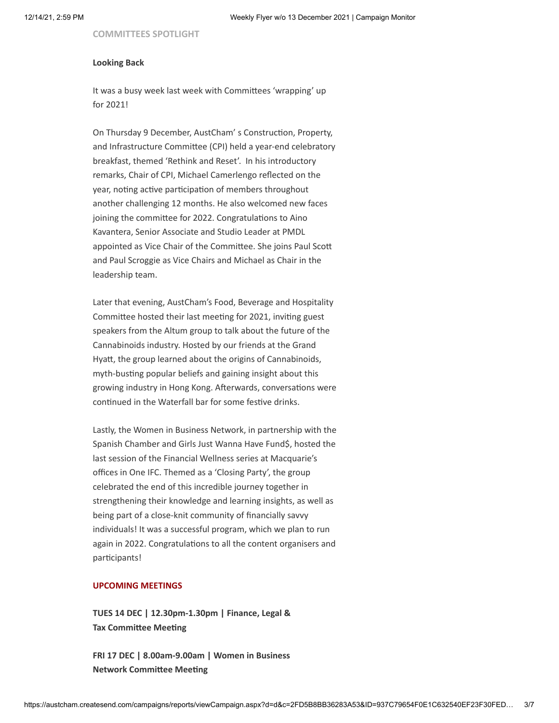**COMMITTEES SPOTLIGHT**

#### **Looking Back**

It was a busy week last week with Committees 'wrapping' up for 2021!

On Thursday 9 December, AustCham' s Construction, Property, and Infrastructure Committee (CPI) held a year-end celebratory breakfast, themed 'Rethink and Reset'. In his introductory remarks, Chair of CPI, Michael Camerlengo reflected on the year, noting active participation of members throughout another challenging 12 months. He also welcomed new faces joining the committee for 2022. Congratulations to Aino Kavantera, Senior Associate and Studio Leader at PMDL appointed as Vice Chair of the Committee. She joins Paul Scott and Paul Scroggie as Vice Chairs and Michael as Chair in the leadership team.

Later that evening, AustCham's Food, Beverage and Hospitality Committee hosted their last meeting for 2021, inviting guest speakers from the Altum group to talk about the future of the Cannabinoids industry. Hosted by our friends at the Grand Hyatt, the group learned about the origins of Cannabinoids, myth-busting popular beliefs and gaining insight about this growing industry in Hong Kong. Afterwards, conversations were continued in the Waterfall bar for some festive drinks.

Lastly, the Women in Business Network, in partnership with the Spanish Chamber and Girls Just Wanna Have Fund\$, hosted the last session of the Financial Wellness series at Macquarie's offices in One IFC. Themed as a 'Closing Party', the group celebrated the end of this incredible journey together in strengthening their knowledge and learning insights, as well as being part of a close-knit community of financially savvy individuals! It was a successful program, which we plan to run again in 2022. Congratulations to all the content organisers and participants!

#### **UPCOMING MEETINGS**

**TUES 14 DEC | 12.30pm-1.30pm | Finance, Legal & Tax Committee Meeting**

**FRI 17 DEC | 8.00am-9.00am | Women in Business Network Committee Meeting**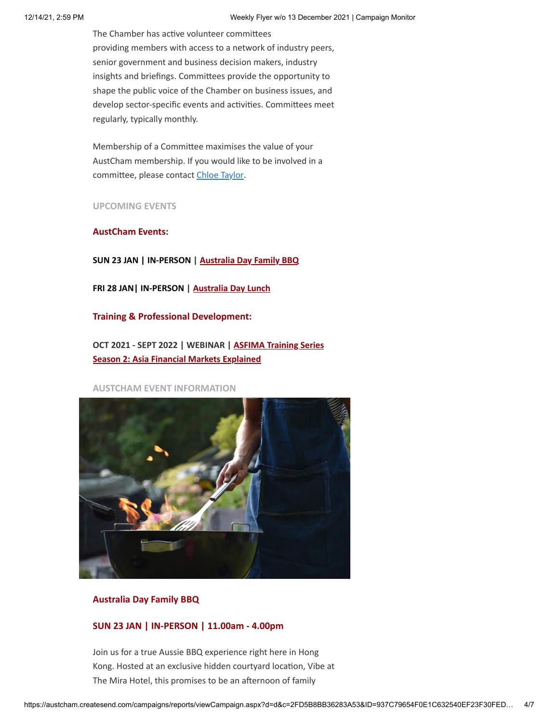The Chamber has active volunteer committees providing members with access to a network of industry peers, senior government and business decision makers, industry insights and briefings. Committees provide the opportunity to shape the public voice of the Chamber on business issues, and develop sector-specific events and activities. Committees meet regularly, typically monthly.

Membership of a Committee maximises the value of your AustCham membership. If you would like to be involved in a committee, please contact [Chloe Taylor](mailto:Chloe.Taylor@austcham.com.hk).

**UPCOMING EVENTS**

**AustCham Events:**

**SUN 23 JAN | IN-PERSON | [Australia Day Family BBQ](https://theaustralianchamberofcommercehongkong.createsend1.com/t/d-i-adhiyul-l-h/)**

**FRI 28 JAN| IN-PERSON | [Australia Day Lunch](https://theaustralianchamberofcommercehongkong.createsend1.com/t/d-i-adhiyul-l-k/)**

**Training & Professional Development:**

**OCT 2021 - SEPT 2022 | WEBINAR | ASFIMA Training Series [Season 2: Asia Financial Markets Explained](https://theaustralianchamberofcommercehongkong.createsend1.com/t/d-i-adhiyul-l-u/)**

### **AUSTCHAM EVENT INFORMATION**



### **Australia Day Family BBQ**

## **SUN 23 JAN | IN-PERSON | 11.00am - 4.00pm**

Join us for a true Aussie BBQ experience right here in Hong Kong. Hosted at an exclusive hidden courtyard location, Vibe at The Mira Hotel, this promises to be an afternoon of family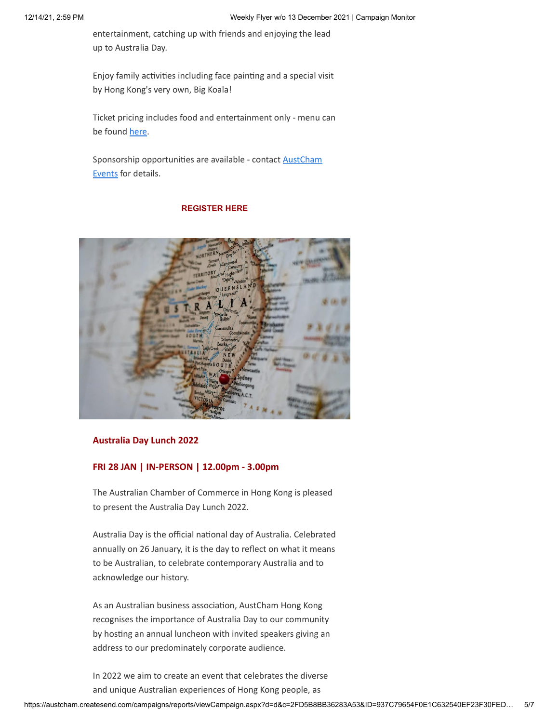entertainment, catching up with friends and enjoying the lead up to Australia Day.

Enjoy family activities including face painting and a special visit by Hong Kong's very own, Big Koala!

Ticket pricing includes food and entertainment only - menu can be found [here](https://theaustralianchamberofcommercehongkong.createsend1.com/t/d-i-adhiyul-l-b/).

[Sponsorship opportunities are available - contact](mailto:lavinia.smith@austcham.com.hk?subject=Aussie%20BBQ%20Sponsorship) AustCham Events for details.

## **[REGISTER HERE](https://theaustralianchamberofcommercehongkong.createsend1.com/t/d-i-adhiyul-l-n/)**



## **Australia Day Lunch 2022**

## **FRI 28 JAN | IN-PERSON | 12.00pm - 3.00pm**

The Australian Chamber of Commerce in Hong Kong is pleased to present the Australia Day Lunch 2022.

Australia Day is the official national day of Australia. Celebrated annually on 26 January, it is the day to reflect on what it means to be Australian, to celebrate contemporary Australia and to acknowledge our history.

As an Australian business association, AustCham Hong Kong recognises the importance of Australia Day to our community by hosting an annual luncheon with invited speakers giving an address to our predominately corporate audience.

In 2022 we aim to create an event that celebrates the diverse and unique Australian experiences of Hong Kong people, as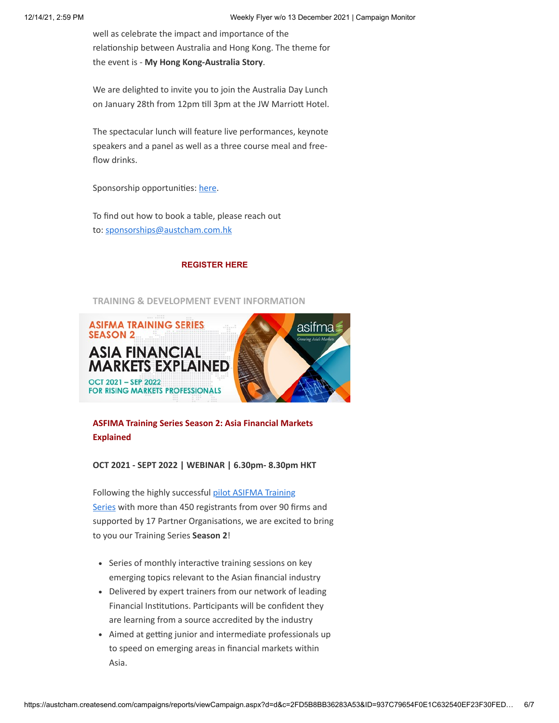well as celebrate the impact and importance of the relationship between Australia and Hong Kong. The theme for the event is - **My Hong Kong-Australia Story**.

We are delighted to invite you to join the Australia Day Lunch on January 28th from 12pm till 3pm at the JW Marriott Hotel.

The spectacular lunch will feature live performances, keynote speakers and a panel as well as a three course meal and freeflow drinks.

Sponsorship opportunities: [here](https://theaustralianchamberofcommercehongkong.createsend1.com/t/d-i-adhiyul-l-x/).

To find out how to book a table, please reach out to: [sponsorships@austcham.com.hk](mailto:sponsorship@austcham.com%20;%20lavinia.smith@austcham.com%20;%20stefanie.evennett@austcham.com.hk?subject=Sponsorships%20%2F%20AustCham%20Australia%20Day%20Lunch%202022&body=I%27m%20interested%20in%20becoming%20a%20Sponsor%20for%20the%20Australia%20Day%20Lunch%202022!%0A%0AAustCham%20Member%3A%20YES%20%2F%20NO%0ACompany%20Name%3A%0A%0A)

# **[REGISTER HERE](https://theaustralianchamberofcommercehongkong.createsend1.com/t/d-i-adhiyul-l-m/)**

# **TRAINING & DEVELOPMENT EVENT INFORMATION**



# **ASFIMA Training Series Season 2: Asia Financial Markets Explained**

## **OCT 2021 - SEPT 2022 | WEBINAR | 6.30pm- 8.30pm HKT**

Following the highly successful pilot ASIFMA Training Series [with more than 450 registrants from over 90 fi](https://theaustralianchamberofcommercehongkong.createsend1.com/t/d-i-adhiyul-l-q/)rms and supported by 17 Partner Organisations, we are excited to bring to you our Training Series **Season 2**!

- Series of monthly interactive training sessions on key emerging topics relevant to the Asian financial industry
- Delivered by expert trainers from our network of leading Financial Institutions. Participants will be confident they are learning from a source accredited by the industry
- Aimed at getting junior and intermediate professionals up to speed on emerging areas in financial markets within Asia.